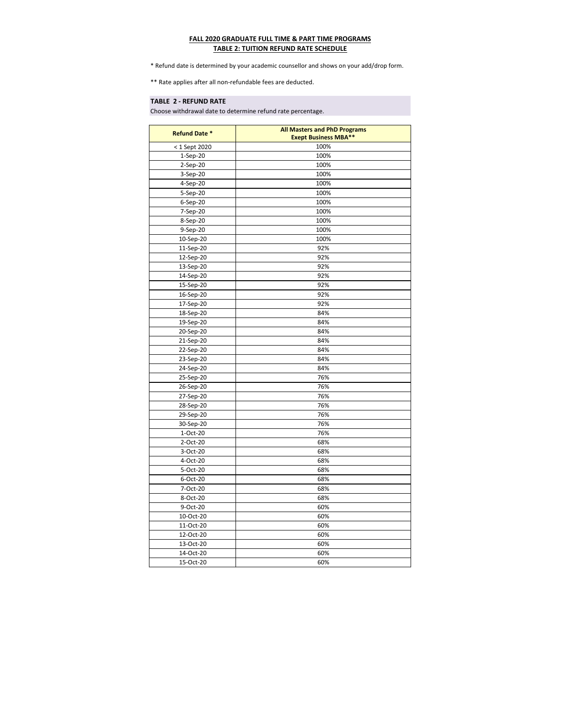| <b>Refund Date *</b> | <b>All Masters and PhD Programs</b> |
|----------------------|-------------------------------------|
|                      | <b>Exept Business MBA**</b>         |
| < 1 Sept 2020        | 100%                                |
| $1-Sep-20$           | 100%                                |
| $2-Sep-20$           | 100%                                |
| 3-Sep-20             | 100%                                |
| 4-Sep-20             | 100%                                |
| 5-Sep-20             | 100%                                |
| 6-Sep-20             | 100%                                |
| 7-Sep-20             | 100%                                |
| 8-Sep-20             | 100%                                |
| 9-Sep-20             | 100%                                |
| 10-Sep-20            | 100%                                |
| 11-Sep-20            | 92%                                 |
| 12-Sep-20            | 92%                                 |
| 13-Sep-20            | 92%                                 |
| 14-Sep-20            | 92%                                 |
| 15-Sep-20            | 92%                                 |
| 16-Sep-20            | 92%                                 |
| 17-Sep-20            | 92%                                 |
| 18-Sep-20            | 84%                                 |
| 19-Sep-20            | 84%                                 |
| 20-Sep-20            | 84%                                 |
| 21-Sep-20            | 84%                                 |
| 22-Sep-20            | 84%                                 |
| 23-Sep-20            | 84%                                 |
| 24-Sep-20            | 84%                                 |
| 25-Sep-20            | 76%                                 |
| 26-Sep-20            | 76%                                 |
| 27-Sep-20            | 76%                                 |
| 28-Sep-20            | 76%                                 |
| 29-Sep-20            | 76%                                 |
| 30-Sep-20            | 76%                                 |
| 1-Oct-20             | 76%                                 |
| 2-Oct-20             | 68%                                 |
| 3-Oct-20             | 68%                                 |
| 4-Oct-20             | 68%                                 |
| 5-Oct-20             | 68%                                 |
| 6-Oct-20             | 68%                                 |
| 7-Oct-20             | 68%                                 |
| 8-Oct-20             | 68%                                 |
| 9-Oct-20             | 60%                                 |
| 10-Oct-20            | 60%                                 |
| 11-Oct-20            | 60%                                 |
| 12-Oct-20            | 60%                                 |
| 13-Oct-20            | 60%                                 |
| 14-Oct-20            | 60%                                 |
| 15-Oct-20            | 60%                                 |

## **TABLE 2 - REFUND RATE**

## **FALL 2020 GRADUATE FULL TIME & PART TIME PROGRAMS TABLE 2: TUITION REFUND RATE SCHEDULE**

\* Refund date is determined by your academic counsellor and shows on your add/drop form.

\*\* Rate applies after all non-refundable fees are deducted.

Choose withdrawal date to determine refund rate percentage.